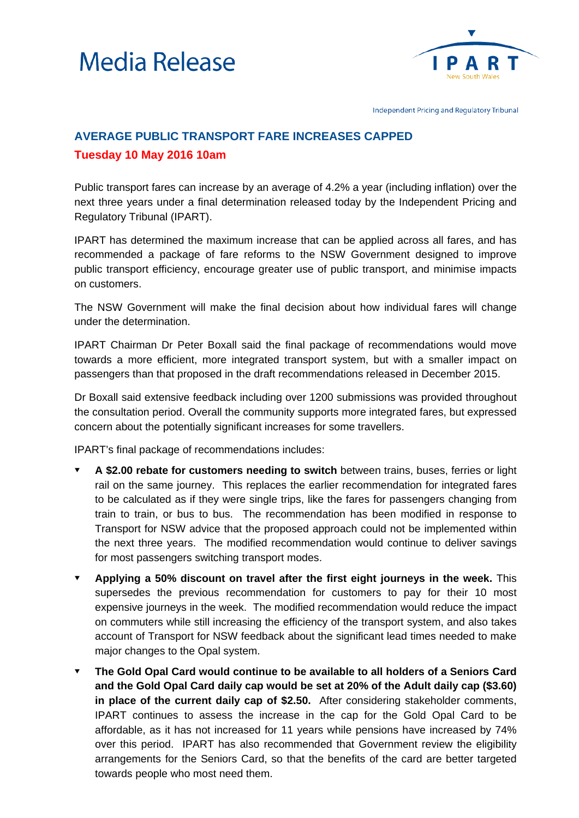



Independent Pricing and Regulatory Tribunal

## **AVERAGE PUBLIC TRANSPORT FARE INCREASES CAPPED Tuesday 10 May 2016 10am**

Public transport fares can increase by an average of 4.2% a year (including inflation) over the next three years under a final determination released today by the Independent Pricing and Regulatory Tribunal (IPART).

IPART has determined the maximum increase that can be applied across all fares, and has recommended a package of fare reforms to the NSW Government designed to improve public transport efficiency, encourage greater use of public transport, and minimise impacts on customers.

The NSW Government will make the final decision about how individual fares will change under the determination.

IPART Chairman Dr Peter Boxall said the final package of recommendations would move towards a more efficient, more integrated transport system, but with a smaller impact on passengers than that proposed in the draft recommendations released in December 2015.

Dr Boxall said extensive feedback including over 1200 submissions was provided throughout the consultation period. Overall the community supports more integrated fares, but expressed concern about the potentially significant increases for some travellers.

IPART's final package of recommendations includes:

- **A \$2.00 rebate for customers needing to switch** between trains, buses, ferries or light rail on the same journey. This replaces the earlier recommendation for integrated fares to be calculated as if they were single trips, like the fares for passengers changing from train to train, or bus to bus. The recommendation has been modified in response to Transport for NSW advice that the proposed approach could not be implemented within the next three years. The modified recommendation would continue to deliver savings for most passengers switching transport modes.
- **Applying a 50% discount on travel after the first eight journeys in the week.** This supersedes the previous recommendation for customers to pay for their 10 most expensive journeys in the week. The modified recommendation would reduce the impact on commuters while still increasing the efficiency of the transport system, and also takes account of Transport for NSW feedback about the significant lead times needed to make major changes to the Opal system.
- **The Gold Opal Card would continue to be available to all holders of a Seniors Card and the Gold Opal Card daily cap would be set at 20% of the Adult daily cap (\$3.60) in place of the current daily cap of \$2.50.** After considering stakeholder comments, IPART continues to assess the increase in the cap for the Gold Opal Card to be affordable, as it has not increased for 11 years while pensions have increased by 74% over this period. IPART has also recommended that Government review the eligibility arrangements for the Seniors Card, so that the benefits of the card are better targeted towards people who most need them.